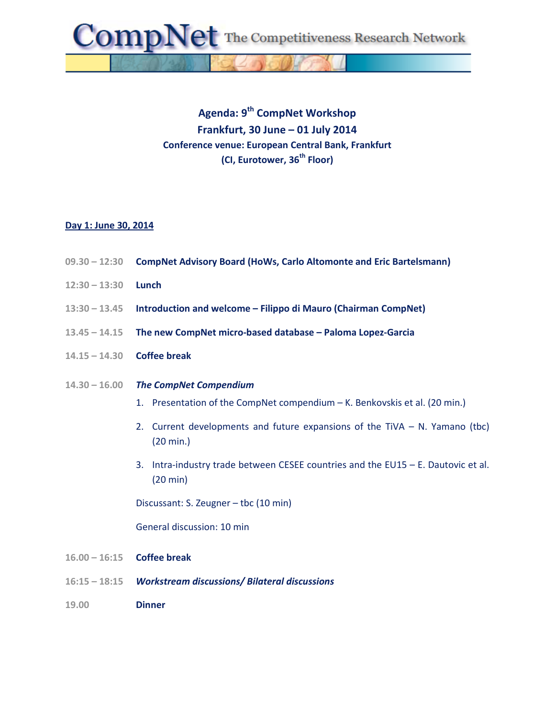The Competitiveness Research Network

## **Agenda: 9th CompNet Workshop Frankfurt, 30 June – 01 July 2014 Conference venue: European Central Bank, Frankfurt (CI, Eurotower, 36th Floor)**

## **Day 1: June 30, 2014**

- **09.30 – 12:30 CompNet Advisory Board (HoWs, Carlo Altomonte and Eric Bartelsmann)**
- **12:30 – 13:30 Lunch**
- **13:30 – 13.45 Introduction and welcome – Filippo di Mauro (Chairman CompNet)**
- **13.45 – 14.15 The new CompNet micro-based database – Paloma Lopez-Garcia**
- **14.15 – 14.30 Coffee break**
- **14.30 – 16.00** *The CompNet Compendium*
	- 1. Presentation of the CompNet compendium K. Benkovskis et al. (20 min.)
	- 2. Current developments and future expansions of the TiVA N. Yamano (tbc) (20 min.)
	- 3. Intra-industry trade between CESEE countries and the EU15 E. Dautovic et al. (20 min)

Discussant: S. Zeugner – tbc (10 min)

General discussion: 10 min

- **16.00 – 16:15 Coffee break**
- **16:15 – 18:15** *Workstream discussions/ Bilateral discussions*
- **19.00 Dinner**